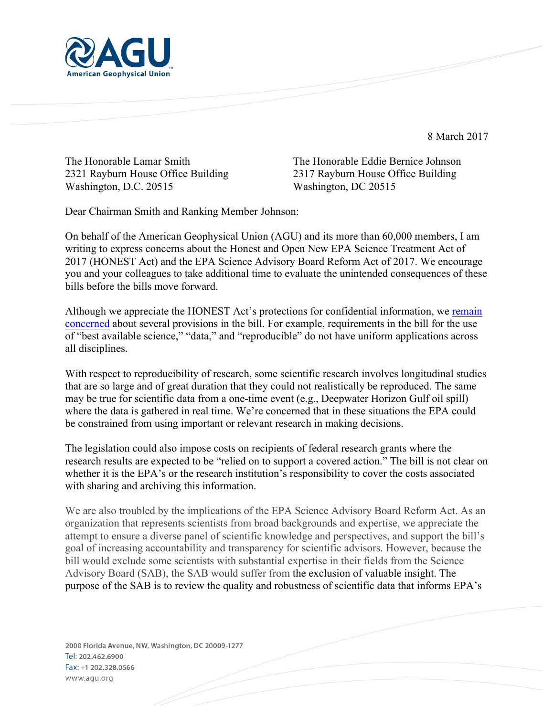

8 March 2017

Washington, D.C. 20515 Washington, DC 20515

The Honorable Lamar Smith The Honorable Eddie Bernice Johnson 2321 Rayburn House Office Building 2317 Rayburn House Office Building

Dear Chairman Smith and Ranking Member Johnson:

On behalf of the American Geophysical Union (AGU) and its more than 60,000 members, I am writing to express concerns about the Honest and Open New EPA Science Treatment Act of 2017 (HONEST Act) and the EPA Science Advisory Board Reform Act of 2017. We encourage you and your colleagues to take additional time to evaluate the unintended consequences of these bills before the bills move forward.

Although we appreciate the HONEST Act's protections for confidential information, we remain concerned about several provisions in the bill. For example, requirements in the bill for the use of "best available science," "data," and "reproducible" do not have uniform applications across all disciplines.

With respect to reproducibility of research, some scientific research involves longitudinal studies that are so large and of great duration that they could not realistically be reproduced. The same may be true for scientific data from a one-time event (e.g., Deepwater Horizon Gulf oil spill) where the data is gathered in real time. We're concerned that in these situations the EPA could be constrained from using important or relevant research in making decisions.

The legislation could also impose costs on recipients of federal research grants where the research results are expected to be "relied on to support a covered action." The bill is not clear on whether it is the EPA's or the research institution's responsibility to cover the costs associated with sharing and archiving this information.

We are also troubled by the implications of the EPA Science Advisory Board Reform Act. As an organization that represents scientists from broad backgrounds and expertise, we appreciate the attempt to ensure a diverse panel of scientific knowledge and perspectives, and support the bill's goal of increasing accountability and transparency for scientific advisors. However, because the bill would exclude some scientists with substantial expertise in their fields from the Science Advisory Board (SAB), the SAB would suffer from the exclusion of valuable insight. The purpose of the SAB is to review the quality and robustness of scientific data that informs EPA's

2000 Florida Avenue, NW, Washington, DC 20009-1277 Tel: 202.462.6900 Fax: +1 202.328.0566 www.agu.org